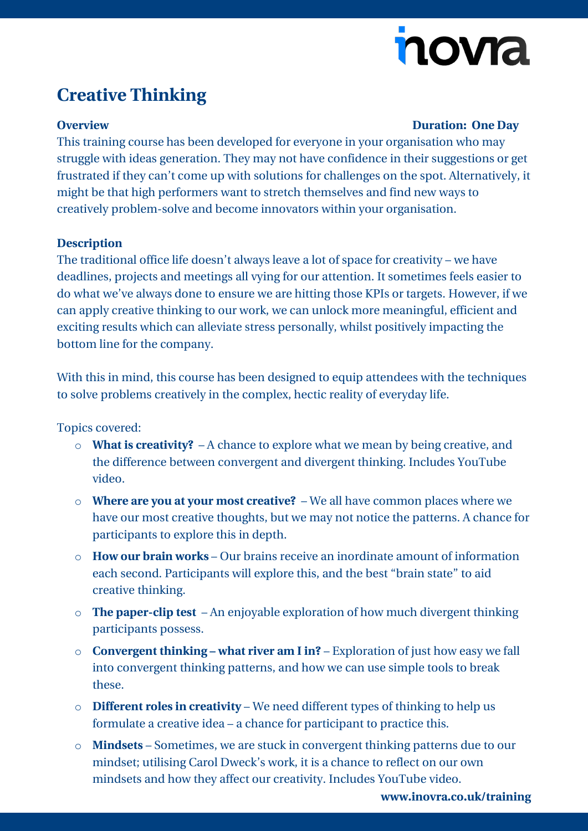# nova

## **Creative Thinking**

#### **Overview Duration: One Day**

This training course has been developed for everyone in your organisation who may struggle with ideas generation. They may not have confidence in their suggestions or get frustrated if they can't come up with solutions for challenges on the spot. Alternatively, it might be that high performers want to stretch themselves and find new ways to creatively problem-solve and become innovators within your organisation.

#### **Description**

The traditional office life doesn't always leave a lot of space for creativity – we have deadlines, projects and meetings all vying for our attention. It sometimes feels easier to do what we've always done to ensure we are hitting those KPIs or targets. However, if we can apply creative thinking to our work, we can unlock more meaningful, efficient and exciting results which can alleviate stress personally, whilst positively impacting the bottom line for the company.

With this in mind, this course has been designed to equip attendees with the techniques to solve problems creatively in the complex, hectic reality of everyday life.

Topics covered:

- o **What is creativity?** A chance to explore what we mean by being creative, and the difference between convergent and divergent thinking. Includes YouTube video.
- o **Where are you at your most creative?**  We all have common places where we have our most creative thoughts, but we may not notice the patterns. A chance for participants to explore this in depth.
- o **How our brain works**  Our brains receive an inordinate amount of information each second. Participants will explore this, and the best "brain state" to aid creative thinking.
- o **The paper-clip test** An enjoyable exploration of how much divergent thinking participants possess.
- o **Convergent thinking – what river am I in?** Exploration of just how easy we fall into convergent thinking patterns, and how we can use simple tools to break these.
- o **Different roles in creativity** We need different types of thinking to help us formulate a creative idea – a chance for participant to practice this.
- o **Mindsets** Sometimes, we are stuck in convergent thinking patterns due to our mindset; utilising Carol Dweck's work, it is a chance to reflect on our own mindsets and how they affect our creativity. Includes YouTube video.

**[www.inovra.co.uk/training](http://www.inovra.co.uk/training)**